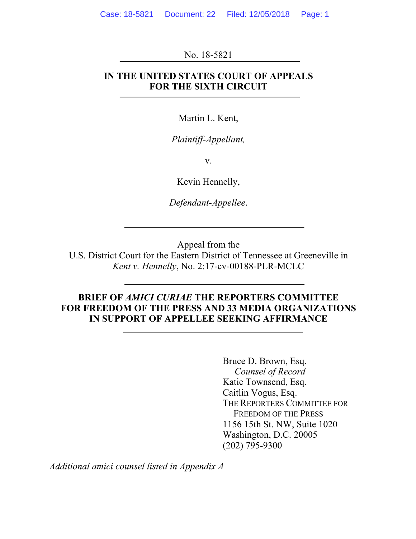No. 18-5821

## **IN THE UNITED STATES COURT OF APPEALS FOR THE SIXTH CIRCUIT**

Martin L. Kent,

*Plaintiff-Appellant,*

v.

Kevin Hennelly,

*Defendant-Appellee*.

Appeal from the

U.S. District Court for the Eastern District of Tennessee at Greeneville in *Kent v. Hennelly*, No. 2:17-cv-00188-PLR-MCLC

## **BRIEF OF** *AMICI CURIAE* **THE REPORTERS COMMITTEE FOR FREEDOM OF THE PRESS AND 33 MEDIA ORGANIZATIONS IN SUPPORT OF APPELLEE SEEKING AFFIRMANCE**

Bruce D. Brown, Esq. *Counsel of Record* Katie Townsend, Esq. Caitlin Vogus, Esq. THE REPORTERS COMMITTEE FOR FREEDOM OF THE PRESS 1156 15th St. NW, Suite 1020 Washington, D.C. 20005 (202) 795-9300

*Additional amici counsel listed in Appendix A*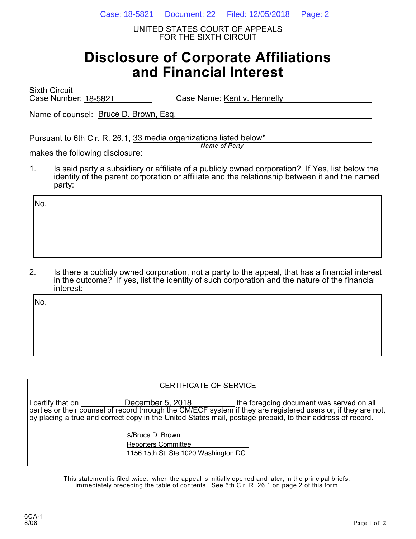UNITED STATES COURT OF APPEALS FOR THE SIXTH CIRCUIT

# **Disclosure of Corporate Affiliations and Financial Interest**

Sixth Circuit Case Number: 18-5821 Case Name: Kent v. Hennelly

Name of counsel: Bruce D. Brown, Esq.

Pursuant to 6th Cir. R. 26.1, 33 media organizations listed below\*

*Name of Party*

makes the following disclosure:

1. Is said party a subsidiary or affiliate of a publicly owned corporation? If Yes, list below the identity of the parent corporation or affiliate and the relationship between it and the named party:

No.

2. Is there a publicly owned corporation, not a party to the appeal, that has a financial interest in the outcome? If yes, list the identity of such corporation and the nature of the financial interest:

No.

#### CERTIFICATE OF SERVICE

I certify that on **Example CON** December 5, 2018 the foregoing document was served on all parties or their counsel of record through the CM/ECF system if they are registered users or, if they are not, by placing a true and correct copy in the United States mail, postage prepaid, to their address of record. December 5, 2018

s/<u>Bruce D. Brown</u>

Reporters Committee

1156 15th St. Ste 1020 Washington DC

This statement is filed twice: when the appeal is initially opened and later, in the principal briefs, immediately preceding the table of contents. See 6th Cir. R. 26.1 on page 2 of this form.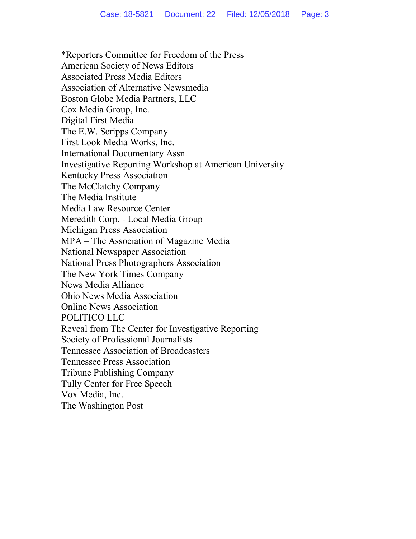\*Reporters Committee for Freedom of the Press American Society of News Editors Associated Press Media Editors Association of Alternative Newsmedia Boston Globe Media Partners, LLC Cox Media Group, Inc. Digital First Media The E.W. Scripps Company First Look Media Works, Inc. International Documentary Assn. Investigative Reporting Workshop at American University Kentucky Press Association The McClatchy Company The Media Institute Media Law Resource Center Meredith Corp. - Local Media Group Michigan Press Association MPA – The Association of Magazine Media National Newspaper Association National Press Photographers Association The New York Times Company News Media Alliance Ohio News Media Association Online News Association POLITICO LLC Reveal from The Center for Investigative Reporting Society of Professional Journalists Tennessee Association of Broadcasters Tennessee Press Association Tribune Publishing Company Tully Center for Free Speech Vox Media, Inc. The Washington Post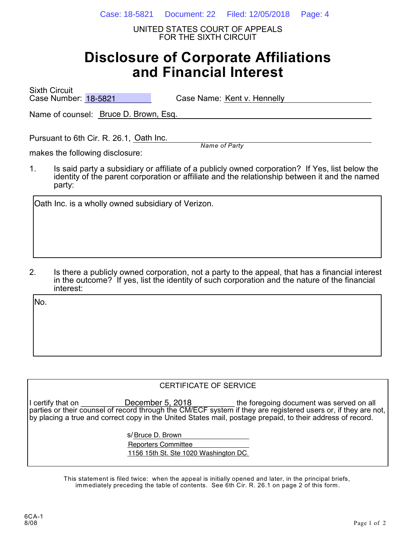UNITED STATES COURT OF APPEALS FOR THE SIXTH CIRCUIT

# **Disclosure of Corporate Affiliations and Financial Interest**

Sixth Circuit Case Number: 18-5821

Case Name: Kent v. Hennelly

Name of counsel: Bruce D. Brown, Esq.

Pursuant to 6th Cir. R. 26.1, Oath Inc.

*Name of Party*

makes the following disclosure:

1. Is said party a subsidiary or affiliate of a publicly owned corporation? If Yes, list below the identity of the parent corporation or affiliate and the relationship between it and the named party:

Oath Inc. is a wholly owned subsidiary of Verizon.

2. Is there a publicly owned corporation, not a party to the appeal, that has a financial interest in the outcome? If yes, list the identity of such corporation and the nature of the financial interest:

No.

#### CERTIFICATE OF SERVICE

I certify that on **Example CON** December 5, 2018 the foregoing document was served on all parties or their counsel of record through the CM/ECF system if they are registered users or, if they are not, by placing a true and correct copy in the United States mail, postage prepaid, to their address of record. December 5, 2018

s/<u>Bruce D. Brown</u>

Reporters Committee

1156 15th St. Ste 1020 Washington DC.

This statement is filed twice: when the appeal is initially opened and later, in the principal briefs, immediately preceding the table of contents. See 6th Cir. R. 26.1 on page 2 of this form.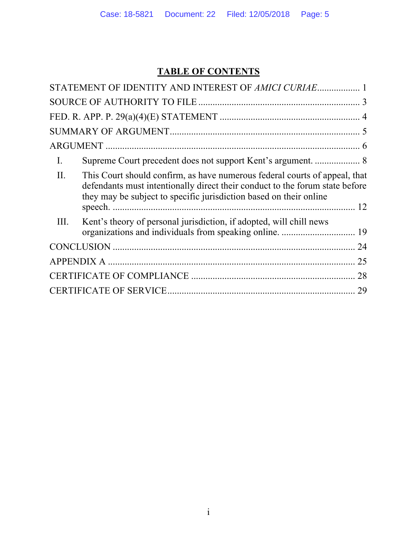# **TABLE OF CONTENTS**

|      | STATEMENT OF IDENTITY AND INTEREST OF AMICI CURIAE 1                                                                                                                                                                             |    |  |
|------|----------------------------------------------------------------------------------------------------------------------------------------------------------------------------------------------------------------------------------|----|--|
|      |                                                                                                                                                                                                                                  |    |  |
|      |                                                                                                                                                                                                                                  |    |  |
|      |                                                                                                                                                                                                                                  |    |  |
|      |                                                                                                                                                                                                                                  |    |  |
| I.   |                                                                                                                                                                                                                                  |    |  |
| II.  | This Court should confirm, as have numerous federal courts of appeal, that<br>defendants must intentionally direct their conduct to the forum state before<br>they may be subject to specific jurisdiction based on their online |    |  |
| III. | Kent's theory of personal jurisdiction, if adopted, will chill news                                                                                                                                                              |    |  |
|      |                                                                                                                                                                                                                                  | 24 |  |
|      |                                                                                                                                                                                                                                  | 25 |  |
| 28   |                                                                                                                                                                                                                                  |    |  |
| 29   |                                                                                                                                                                                                                                  |    |  |
|      |                                                                                                                                                                                                                                  |    |  |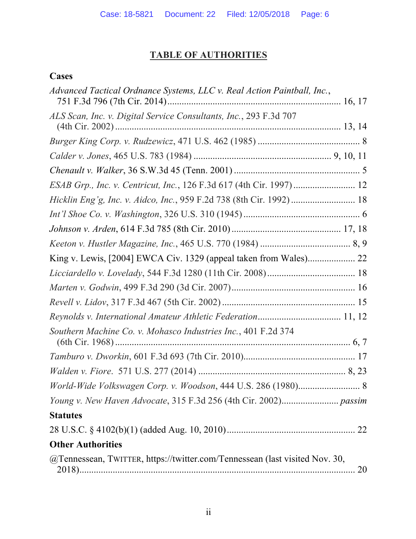# **TABLE OF AUTHORITIES**

# **Cases**

| Advanced Tactical Ordnance Systems, LLC v. Real Action Paintball, Inc.,     |           |
|-----------------------------------------------------------------------------|-----------|
| ALS Scan, Inc. v. Digital Service Consultants, Inc., 293 F.3d 707           |           |
|                                                                             |           |
|                                                                             |           |
|                                                                             |           |
| ESAB Grp., Inc. v. Centricut, Inc., 126 F.3d 617 (4th Cir. 1997) 12         |           |
| Hicklin Eng'g, Inc. v. Aidco, Inc., 959 F.2d 738 (8th Cir. 1992) 18         |           |
|                                                                             |           |
|                                                                             |           |
|                                                                             |           |
| King v. Lewis, [2004] EWCA Civ. 1329 (appeal taken from Wales) 22           |           |
|                                                                             |           |
|                                                                             |           |
|                                                                             |           |
| Reynolds v. International Amateur Athletic Federation 11, 12                |           |
| Southern Machine Co. v. Mohasco Industries Inc., 401 F.2d 374               |           |
|                                                                             |           |
|                                                                             |           |
| World-Wide Volkswagen Corp. v. Woodson, 444 U.S. 286 (1980) 8               |           |
|                                                                             |           |
| <b>Statutes</b>                                                             |           |
|                                                                             |           |
| <b>Other Authorities</b>                                                    |           |
| @Tennessean, TWITTER, https://twitter.com/Tennessean (last visited Nov. 30, | <b>20</b> |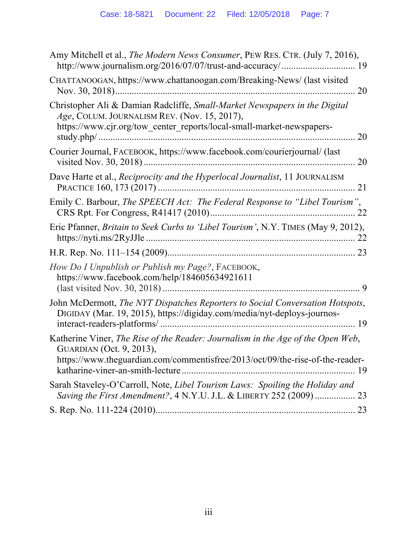| Amy Mitchell et al., The Modern News Consumer, PEW RES. CTR. (July 7, 2016),                                                                                                                        |
|-----------------------------------------------------------------------------------------------------------------------------------------------------------------------------------------------------|
| CHATTANOOGAN, https://www.chattanoogan.com/Breaking-News/ (last visited                                                                                                                             |
| Christopher Ali & Damian Radcliffe, Small-Market Newspapers in the Digital<br>Age, COLUM. JOURNALISM REV. (Nov. 15, 2017),<br>https://www.cjr.org/tow_center_reports/local-small-market-newspapers- |
| Courier Journal, FACEBOOK, https://www.facebook.com/courierjournal/ (last                                                                                                                           |
| Dave Harte et al., <i>Reciprocity and the Hyperlocal Journalist</i> , 11 JOURNALISM                                                                                                                 |
| Emily C. Barbour, The SPEECH Act: The Federal Response to "Libel Tourism",                                                                                                                          |
| Eric Pfanner, Britain to Seek Curbs to 'Libel Tourism', N.Y. TIMES (May 9, 2012),                                                                                                                   |
|                                                                                                                                                                                                     |
| How Do I Unpublish or Publish my Page?, FACEBOOK,<br>https://www.facebook.com/help/184605634921611                                                                                                  |
| John McDermott, The NYT Dispatches Reporters to Social Conversation Hotspots,<br>DIGIDAY (Mar. 19, 2015), https://digiday.com/media/nyt-deploys-journos-                                            |
| Katherine Viner, The Rise of the Reader: Journalism in the Age of the Open Web,<br>GUARDIAN (Oct. 9, 2013),<br>https://www.theguardian.com/commentisfree/2013/oct/09/the-rise-of-the-reader-        |
| Sarah Staveley-O'Carroll, Note, Libel Tourism Laws: Spoiling the Holiday and<br>Saving the First Amendment?, 4 N.Y.U. J.L. & LIBERTY 252 (2009)  23                                                 |
|                                                                                                                                                                                                     |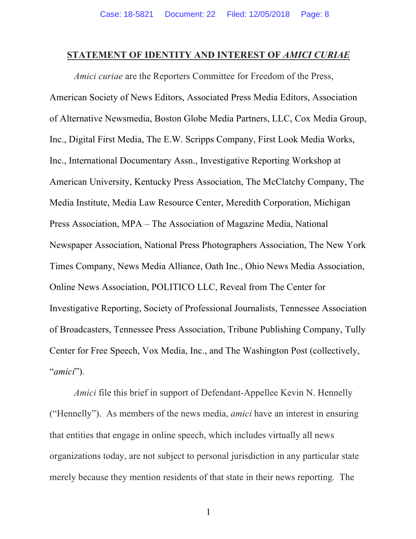#### STATEMENT OF IDENTITY AND INTEREST OF *AMICI CURIAE*

*Amici curiae* are the Reporters Committee for Freedom of the Press, American Society of News Editors, Associated Press Media Editors, Association of Alternative Newsmedia, Boston Globe Media Partners, LLC, Cox Media Group, Inc., Digital First Media, The E.W. Scripps Company, First Look Media Works, Inc., International Documentary Assn., Investigative Reporting Workshop at American University, Kentucky Press Association, The McClatchy Company, The Media Institute, Media Law Resource Center, Meredith Corporation, Michigan Press Association, MPA – The Association of Magazine Media, National Newspaper Association, National Press Photographers Association, The New York Times Company, News Media Alliance, Oath Inc., Ohio News Media Association, Online News Association, POLITICO LLC, Reveal from The Center for Investigative Reporting, Society of Professional Journalists, Tennessee Association of Broadcasters, Tennessee Press Association, Tribune Publishing Company, Tully Center for Free Speech, Vox Media, Inc., and The Washington Post (collectively, "*amici*").

*Amici* file this brief in support of Defendant-Appellee Kevin N. Hennelly ("Hennelly"). As members of the news media, *amici* have an interest in ensuring that entities that engage in online speech, which includes virtually all news organizations today, are not subject to personal jurisdiction in any particular state merely because they mention residents of that state in their news reporting. The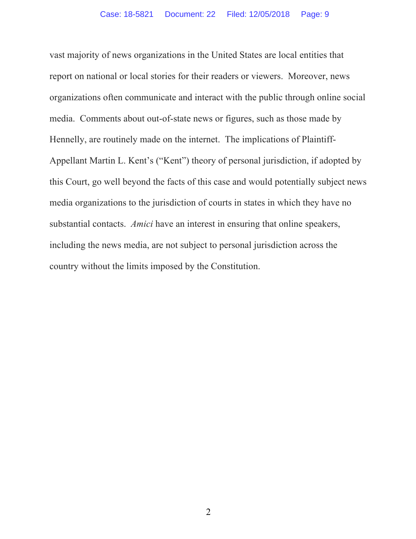vast majority of news organizations in the United States are local entities that report on national or local stories for their readers or viewers. Moreover, news organizations often communicate and interact with the public through online social media. Comments about out-of-state news or figures, such as those made by Hennelly, are routinely made on the internet. The implications of Plaintiff-Appellant Martin L. Kent's ("Kent") theory of personal jurisdiction, if adopted by this Court, go well beyond the facts of this case and would potentially subject news media organizations to the jurisdiction of courts in states in which they have no substantial contacts. *Amici* have an interest in ensuring that online speakers, including the news media, are not subject to personal jurisdiction across the country without the limits imposed by the Constitution.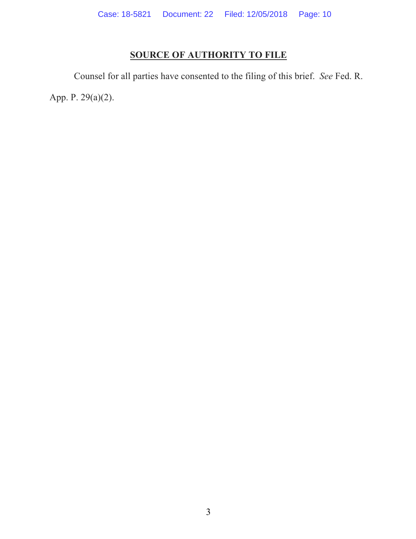# **SOURCE OF AUTHORITY TO FILE**

Counsel for all parties have consented to the filing of this brief. *See* Fed. R. App. P. 29(a)(2).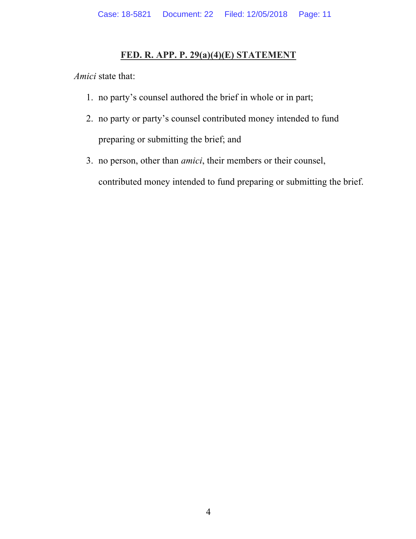## **FED. R. APP. P. 29(a)(4)(E) STATEMENT**

*Amici* state that:

- 1. no party's counsel authored the brief in whole or in part;
- 2. no party or party's counsel contributed money intended to fund preparing or submitting the brief; and
- 3. no person, other than *amici*, their members or their counsel, contributed money intended to fund preparing or submitting the brief.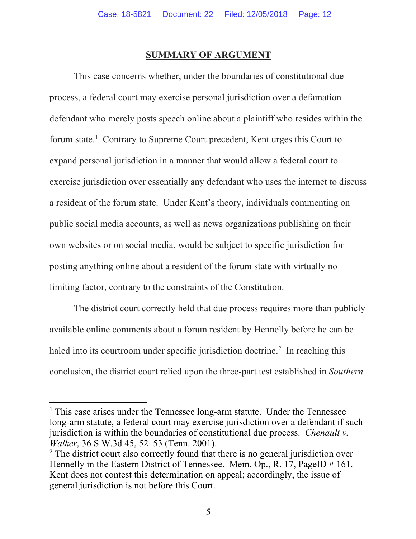#### **SUMMARY OF ARGUMENT**

This case concerns whether, under the boundaries of constitutional due process, a federal court may exercise personal jurisdiction over a defamation defendant who merely posts speech online about a plaintiff who resides within the forum state.<sup>1</sup> Contrary to Supreme Court precedent, Kent urges this Court to expand personal jurisdiction in a manner that would allow a federal court to exercise jurisdiction over essentially any defendant who uses the internet to discuss a resident of the forum state. Under Kent's theory, individuals commenting on public social media accounts, as well as news organizations publishing on their own websites or on social media, would be subject to specific jurisdiction for posting anything online about a resident of the forum state with virtually no limiting factor, contrary to the constraints of the Constitution.

The district court correctly held that due process requires more than publicly available online comments about a forum resident by Hennelly before he can be haled into its courtroom under specific jurisdiction doctrine.<sup>2</sup> In reaching this conclusion, the district court relied upon the three-part test established in *Southern* 

<u>.</u>

 $<sup>1</sup>$  This case arises under the Tennessee long-arm statute. Under the Tennessee</sup> long-arm statute, a federal court may exercise jurisdiction over a defendant if such jurisdiction is within the boundaries of constitutional due process. *Chenault v. Walker*, 36 S.W.3d 45, 52–53 (Tenn. 2001).

<sup>&</sup>lt;sup>2</sup> The district court also correctly found that there is no general jurisdiction over Hennelly in the Eastern District of Tennessee. Mem. Op., R. 17, PageID # 161. Kent does not contest this determination on appeal; accordingly, the issue of general jurisdiction is not before this Court.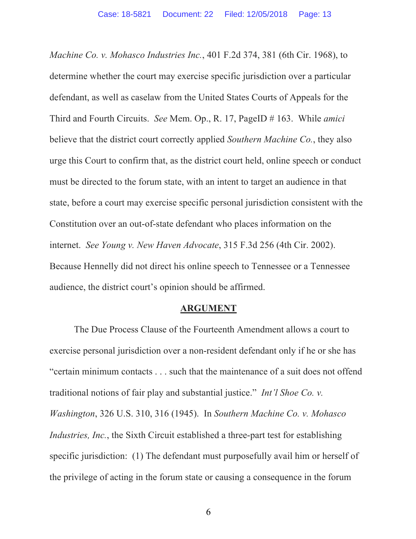*Machine Co. v. Mohasco Industries Inc.*, 401 F.2d 374, 381 (6th Cir. 1968), to determine whether the court may exercise specific jurisdiction over a particular defendant, as well as caselaw from the United States Courts of Appeals for the Third and Fourth Circuits. *See* Mem. Op., R. 17, PageID # 163. While *amici*  believe that the district court correctly applied *Southern Machine Co.*, they also urge this Court to confirm that, as the district court held, online speech or conduct must be directed to the forum state, with an intent to target an audience in that state, before a court may exercise specific personal jurisdiction consistent with the Constitution over an out-of-state defendant who places information on the internet. *See Young v. New Haven Advocate*, 315 F.3d 256 (4th Cir. 2002). Because Hennelly did not direct his online speech to Tennessee or a Tennessee audience, the district court's opinion should be affirmed.

#### **ARGUMENT**

The Due Process Clause of the Fourteenth Amendment allows a court to exercise personal jurisdiction over a non-resident defendant only if he or she has "certain minimum contacts . . . such that the maintenance of a suit does not offend traditional notions of fair play and substantial justice." *Int'l Shoe Co. v. Washington*, 326 U.S. 310, 316 (1945). In *Southern Machine Co. v. Mohasco Industries, Inc.*, the Sixth Circuit established a three-part test for establishing specific jurisdiction: (1) The defendant must purposefully avail him or herself of the privilege of acting in the forum state or causing a consequence in the forum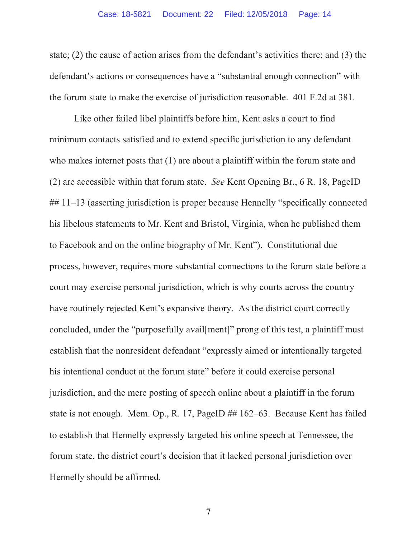state; (2) the cause of action arises from the defendant's activities there; and (3) the defendant's actions or consequences have a "substantial enough connection" with the forum state to make the exercise of jurisdiction reasonable. 401 F.2d at 381.

Like other failed libel plaintiffs before him, Kent asks a court to find minimum contacts satisfied and to extend specific jurisdiction to any defendant who makes internet posts that (1) are about a plaintiff within the forum state and (2) are accessible within that forum state. *See* Kent Opening Br., 6 R. 18, PageID ## 11–13 (asserting jurisdiction is proper because Hennelly "specifically connected his libelous statements to Mr. Kent and Bristol, Virginia, when he published them to Facebook and on the online biography of Mr. Kent"). Constitutional due process, however, requires more substantial connections to the forum state before a court may exercise personal jurisdiction, which is why courts across the country have routinely rejected Kent's expansive theory. As the district court correctly concluded, under the "purposefully avail[ment]" prong of this test, a plaintiff must establish that the nonresident defendant "expressly aimed or intentionally targeted his intentional conduct at the forum state" before it could exercise personal jurisdiction, and the mere posting of speech online about a plaintiff in the forum state is not enough. Mem. Op., R. 17, PageID ## 162–63. Because Kent has failed to establish that Hennelly expressly targeted his online speech at Tennessee, the forum state, the district court's decision that it lacked personal jurisdiction over Hennelly should be affirmed.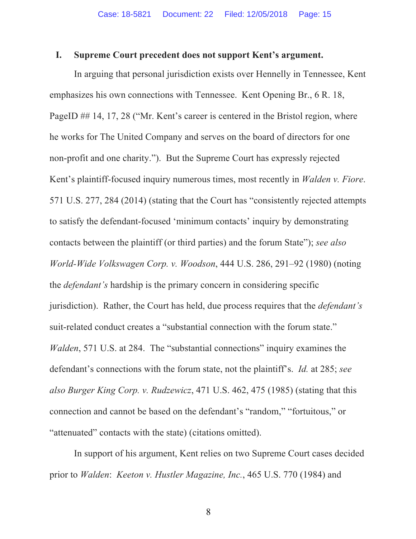#### **I. Supreme Court precedent does not support Kent's argument.**

In arguing that personal jurisdiction exists over Hennelly in Tennessee, Kent emphasizes his own connections with Tennessee. Kent Opening Br., 6 R. 18, PageID ## 14, 17, 28 ("Mr. Kent's career is centered in the Bristol region, where he works for The United Company and serves on the board of directors for one non-profit and one charity."). But the Supreme Court has expressly rejected Kent's plaintiff-focused inquiry numerous times, most recently in *Walden v. Fiore*. 571 U.S. 277, 284 (2014) (stating that the Court has "consistently rejected attempts to satisfy the defendant-focused 'minimum contacts' inquiry by demonstrating contacts between the plaintiff (or third parties) and the forum State"); *see also World-Wide Volkswagen Corp. v. Woodson*, 444 U.S. 286, 291–92 (1980) (noting the *defendant's* hardship is the primary concern in considering specific jurisdiction). Rather, the Court has held, due process requires that the *defendant's* suit-related conduct creates a "substantial connection with the forum state." *Walden*, 571 U.S. at 284. The "substantial connections" inquiry examines the defendant's connections with the forum state, not the plaintiff's. *Id.* at 285; *see also Burger King Corp. v. Rudzewicz*, 471 U.S. 462, 475 (1985) (stating that this connection and cannot be based on the defendant's "random," "fortuitous," or "attenuated" contacts with the state) (citations omitted).

In support of his argument, Kent relies on two Supreme Court cases decided prior to *Walden*: *Keeton v. Hustler Magazine, Inc.*, 465 U.S. 770 (1984) and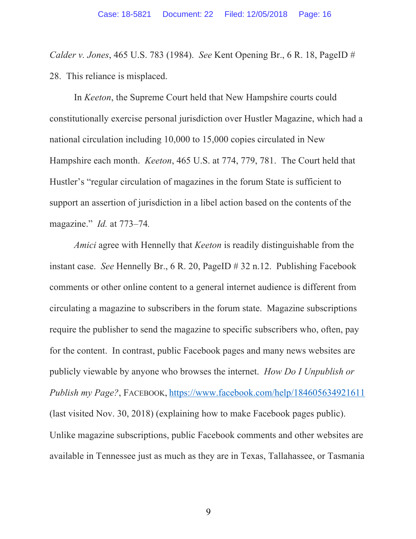*Calder v. Jones*, 465 U.S. 783 (1984). *See* Kent Opening Br., 6 R. 18, PageID # 28. This reliance is misplaced.

In *Keeton*, the Supreme Court held that New Hampshire courts could constitutionally exercise personal jurisdiction over Hustler Magazine, which had a national circulation including 10,000 to 15,000 copies circulated in New Hampshire each month. *Keeton*, 465 U.S. at 774, 779, 781. The Court held that Hustler's "regular circulation of magazines in the forum State is sufficient to support an assertion of jurisdiction in a libel action based on the contents of the magazine." *Id.* at 773–74*.*

*Amici* agree with Hennelly that *Keeton* is readily distinguishable from the instant case. *See* Hennelly Br., 6 R. 20, PageID # 32 n.12. Publishing Facebook comments or other online content to a general internet audience is different from circulating a magazine to subscribers in the forum state. Magazine subscriptions require the publisher to send the magazine to specific subscribers who, often, pay for the content. In contrast, public Facebook pages and many news websites are publicly viewable by anyone who browses the internet. *How Do I Unpublish or Publish my Page?*, FACEBOOK, https://www.facebook.com/help/184605634921611 (last visited Nov. 30, 2018) (explaining how to make Facebook pages public). Unlike magazine subscriptions, public Facebook comments and other websites are available in Tennessee just as much as they are in Texas, Tallahassee, or Tasmania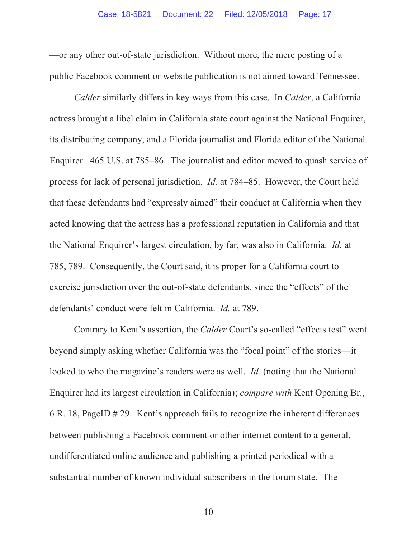—or any other out-of-state jurisdiction. Without more, the mere posting of a public Facebook comment or website publication is not aimed toward Tennessee.

*Calder* similarly differs in key ways from this case.In *Calder*, a California actress brought a libel claim in California state court against the National Enquirer, its distributing company, and a Florida journalist and Florida editor of the National Enquirer. 465 U.S. at 785–86. The journalist and editor moved to quash service of process for lack of personal jurisdiction. *Id.* at 784–85. However, the Court held that these defendants had "expressly aimed" their conduct at California when they acted knowing that the actress has a professional reputation in California and that the National Enquirer's largest circulation, by far, was also in California. *Id.* at 785, 789. Consequently, the Court said, it is proper for a California court to exercise jurisdiction over the out-of-state defendants, since the "effects" of the defendants' conduct were felt in California. *Id.* at 789.

Contrary to Kent's assertion, the *Calder* Court's so-called "effects test" went beyond simply asking whether California was the "focal point" of the stories—it looked to who the magazine's readers were as well. *Id.* (noting that the National Enquirer had its largest circulation in California); *compare with* Kent Opening Br., 6 R. 18, PageID # 29. Kent's approach fails to recognize the inherent differences between publishing a Facebook comment or other internet content to a general, undifferentiated online audience and publishing a printed periodical with a substantial number of known individual subscribers in the forum state. The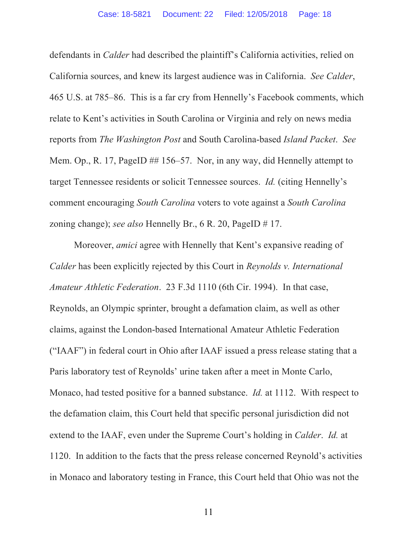defendants in *Calder* had described the plaintiff's California activities, relied on California sources, and knew its largest audience was in California. *See Calder*, 465 U.S. at 785–86. This is a far cry from Hennelly's Facebook comments, which relate to Kent's activities in South Carolina or Virginia and rely on news media reports from *The Washington Post* and South Carolina-based *Island Packet*. *See*  Mem. Op., R. 17, PageID ## 156–57. Nor, in any way, did Hennelly attempt to target Tennessee residents or solicit Tennessee sources. *Id.* (citing Hennelly's comment encouraging *South Carolina* voters to vote against a *South Carolina* zoning change); *see also* Hennelly Br., 6 R. 20, PageID # 17.

Moreover, *amici* agree with Hennelly that Kent's expansive reading of *Calder* has been explicitly rejected by this Court in *Reynolds v. International Amateur Athletic Federation*. 23 F.3d 1110 (6th Cir. 1994). In that case, Reynolds, an Olympic sprinter, brought a defamation claim, as well as other claims, against the London-based International Amateur Athletic Federation ("IAAF") in federal court in Ohio after IAAF issued a press release stating that a Paris laboratory test of Reynolds' urine taken after a meet in Monte Carlo, Monaco, had tested positive for a banned substance. *Id.* at 1112. With respect to the defamation claim, this Court held that specific personal jurisdiction did not extend to the IAAF, even under the Supreme Court's holding in *Calder*. *Id.* at 1120. In addition to the facts that the press release concerned Reynold's activities in Monaco and laboratory testing in France, this Court held that Ohio was not the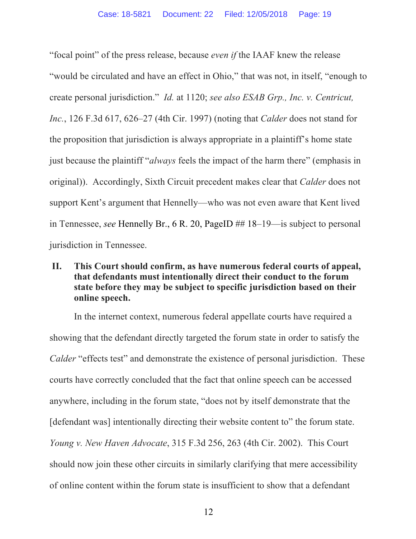"focal point" of the press release, because *even if* the IAAF knew the release "would be circulated and have an effect in Ohio," that was not, in itself, "enough to create personal jurisdiction." *Id.* at 1120; *see also ESAB Grp., Inc. v. Centricut, Inc.*, 126 F.3d 617, 626–27 (4th Cir. 1997) (noting that *Calder* does not stand for the proposition that jurisdiction is always appropriate in a plaintiff's home state just because the plaintiff "*always* feels the impact of the harm there" (emphasis in original)). Accordingly, Sixth Circuit precedent makes clear that *Calder* does not support Kent's argument that Hennelly—who was not even aware that Kent lived in Tennessee, *see* Hennelly Br., 6 R. 20, PageID ## 18–19—is subject to personal jurisdiction in Tennessee.

## **II. This Court should confirm, as have numerous federal courts of appeal, that defendants must intentionally direct their conduct to the forum state before they may be subject to specific jurisdiction based on their online speech.**

In the internet context, numerous federal appellate courts have required a showing that the defendant directly targeted the forum state in order to satisfy the *Calder* "effects test" and demonstrate the existence of personal jurisdiction. These courts have correctly concluded that the fact that online speech can be accessed anywhere, including in the forum state, "does not by itself demonstrate that the [defendant was] intentionally directing their website content to" the forum state. *Young v. New Haven Advocate*, 315 F.3d 256, 263 (4th Cir. 2002).This Court should now join these other circuits in similarly clarifying that mere accessibility of online content within the forum state is insufficient to show that a defendant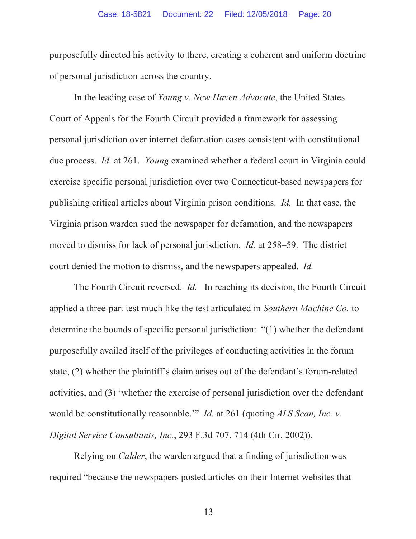purposefully directed his activity to there, creating a coherent and uniform doctrine of personal jurisdiction across the country.

In the leading case of *Young v. New Haven Advocate*, the United States Court of Appeals for the Fourth Circuit provided a framework for assessing personal jurisdiction over internet defamation cases consistent with constitutional due process. *Id.* at 261. *Young* examined whether a federal court in Virginia could exercise specific personal jurisdiction over two Connecticut-based newspapers for publishing critical articles about Virginia prison conditions. *Id.* In that case, the Virginia prison warden sued the newspaper for defamation, and the newspapers moved to dismiss for lack of personal jurisdiction. *Id.* at 258–59. The district court denied the motion to dismiss, and the newspapers appealed. *Id.*

The Fourth Circuit reversed. *Id.* In reaching its decision, the Fourth Circuit applied a three-part test much like the test articulated in *Southern Machine Co.* to determine the bounds of specific personal jurisdiction: "(1) whether the defendant purposefully availed itself of the privileges of conducting activities in the forum state, (2) whether the plaintiff's claim arises out of the defendant's forum-related activities, and (3) 'whether the exercise of personal jurisdiction over the defendant would be constitutionally reasonable.'" *Id.* at 261 (quoting *ALS Scan, Inc. v. Digital Service Consultants, Inc.*, 293 F.3d 707, 714 (4th Cir. 2002)).

Relying on *Calder*, the warden argued that a finding of jurisdiction was required "because the newspapers posted articles on their Internet websites that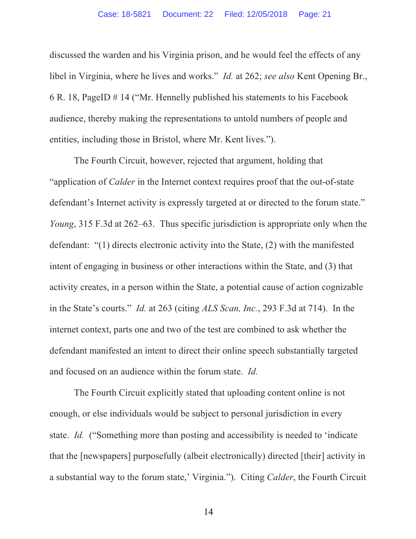discussed the warden and his Virginia prison, and he would feel the effects of any libel in Virginia, where he lives and works." *Id.* at 262; *see also* Kent Opening Br., 6 R. 18, PageID # 14 ("Mr. Hennelly published his statements to his Facebook audience, thereby making the representations to untold numbers of people and entities, including those in Bristol, where Mr. Kent lives.").

The Fourth Circuit, however, rejected that argument, holding that "application of *Calder* in the Internet context requires proof that the out-of-state defendant's Internet activity is expressly targeted at or directed to the forum state." *Young*, 315 F.3d at 262–63. Thus specific jurisdiction is appropriate only when the defendant: "(1) directs electronic activity into the State, (2) with the manifested intent of engaging in business or other interactions within the State, and (3) that activity creates, in a person within the State, a potential cause of action cognizable in the State's courts." *Id.* at 263 (citing *ALS Scan, Inc.*, 293 F.3d at 714). In the internet context, parts one and two of the test are combined to ask whether the defendant manifested an intent to direct their online speech substantially targeted and focused on an audience within the forum state. *Id.*

The Fourth Circuit explicitly stated that uploading content online is not enough, or else individuals would be subject to personal jurisdiction in every state. *Id.* ("Something more than posting and accessibility is needed to 'indicate that the [newspapers] purposefully (albeit electronically) directed [their] activity in a substantial way to the forum state,' Virginia."). Citing *Calder*, the Fourth Circuit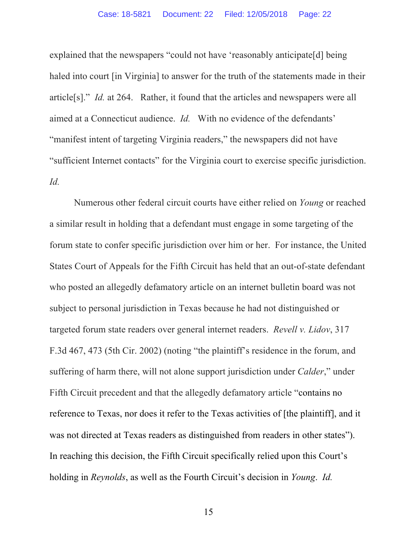explained that the newspapers "could not have 'reasonably anticipate[d] being haled into court *[in Virginia]* to answer for the truth of the statements made in their article[s]." *Id.* at 264. Rather, it found that the articles and newspapers were all aimed at a Connecticut audience. *Id.* With no evidence of the defendants' "manifest intent of targeting Virginia readers," the newspapers did not have "sufficient Internet contacts" for the Virginia court to exercise specific jurisdiction. *Id.*

Numerous other federal circuit courts have either relied on *Young* or reached a similar result in holding that a defendant must engage in some targeting of the forum state to confer specific jurisdiction over him or her. For instance, the United States Court of Appeals for the Fifth Circuit has held that an out-of-state defendant who posted an allegedly defamatory article on an internet bulletin board was not subject to personal jurisdiction in Texas because he had not distinguished or targeted forum state readers over general internet readers. *Revell v. Lidov*, 317 F.3d 467, 473 (5th Cir. 2002) (noting "the plaintiff's residence in the forum, and suffering of harm there, will not alone support jurisdiction under *Calder*," under Fifth Circuit precedent and that the allegedly defamatory article "contains no reference to Texas, nor does it refer to the Texas activities of [the plaintiff], and it was not directed at Texas readers as distinguished from readers in other states"). In reaching this decision, the Fifth Circuit specifically relied upon this Court's holding in *Reynolds*, as well as the Fourth Circuit's decision in *Young*. *Id.*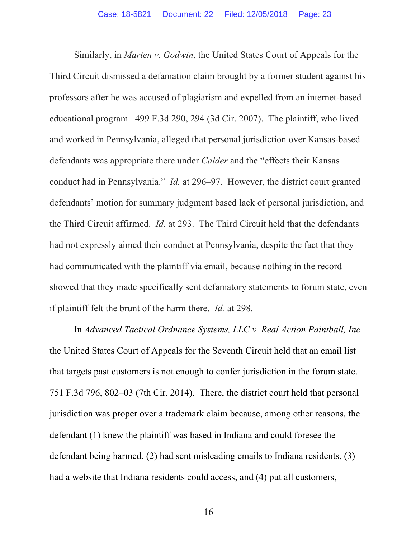Similarly, in *Marten v. Godwin*, the United States Court of Appeals for the Third Circuit dismissed a defamation claim brought by a former student against his professors after he was accused of plagiarism and expelled from an internet-based educational program. 499 F.3d 290, 294 (3d Cir. 2007). The plaintiff, who lived and worked in Pennsylvania, alleged that personal jurisdiction over Kansas-based defendants was appropriate there under *Calder* and the "effects their Kansas conduct had in Pennsylvania." *Id.* at 296–97. However, the district court granted defendants' motion for summary judgment based lack of personal jurisdiction, and the Third Circuit affirmed. *Id.* at 293. The Third Circuit held that the defendants had not expressly aimed their conduct at Pennsylvania, despite the fact that they had communicated with the plaintiff via email, because nothing in the record showed that they made specifically sent defamatory statements to forum state, even if plaintiff felt the brunt of the harm there. *Id.* at 298.

In *Advanced Tactical Ordnance Systems, LLC v. Real Action Paintball, Inc.* the United States Court of Appeals for the Seventh Circuit held that an email list that targets past customers is not enough to confer jurisdiction in the forum state. 751 F.3d 796, 802–03 (7th Cir. 2014). There, the district court held that personal jurisdiction was proper over a trademark claim because, among other reasons, the defendant (1) knew the plaintiff was based in Indiana and could foresee the defendant being harmed, (2) had sent misleading emails to Indiana residents, (3) had a website that Indiana residents could access, and (4) put all customers,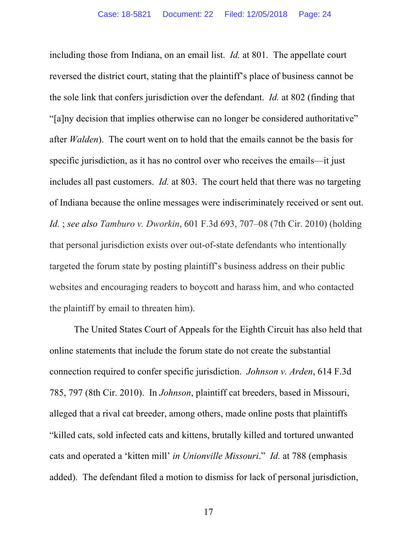including those from Indiana, on an email list. *Id.* at 801. The appellate court reversed the district court, stating that the plaintiff's place of business cannot be the sole link that confers jurisdiction over the defendant. *Id.* at 802 (finding that "[a]ny decision that implies otherwise can no longer be considered authoritative" after *Walden*). The court went on to hold that the emails cannot be the basis for specific jurisdiction, as it has no control over who receives the emails—it just includes all past customers. *Id.* at 803. The court held that there was no targeting of Indiana because the online messages were indiscriminately received or sent out. *Id.* ; *see also Tamburo v. Dworkin*, 601 F.3d 693, 707–08 (7th Cir. 2010) (holding that personal jurisdiction exists over out-of-state defendants who intentionally targeted the forum state by posting plaintiff's business address on their public websites and encouraging readers to boycott and harass him, and who contacted the plaintiff by email to threaten him).

The United States Court of Appeals for the Eighth Circuit has also held that online statements that include the forum state do not create the substantial connection required to confer specific jurisdiction. *Johnson v. Arden*, 614 F.3d 785, 797 (8th Cir. 2010). In *Johnson*, plaintiff cat breeders, based in Missouri, alleged that a rival cat breeder, among others, made online posts that plaintiffs "killed cats, sold infected cats and kittens, brutally killed and tortured unwanted cats and operated a 'kitten mill' *in Unionville Missouri*." *Id.* at 788 (emphasis added). The defendant filed a motion to dismiss for lack of personal jurisdiction,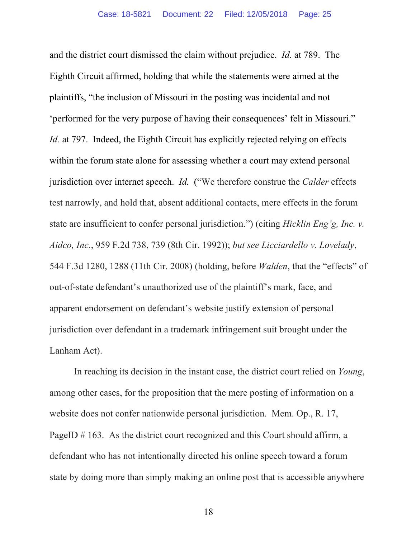and the district court dismissed the claim without prejudice. *Id.* at 789. The Eighth Circuit affirmed, holding that while the statements were aimed at the plaintiffs, "the inclusion of Missouri in the posting was incidental and not 'performed for the very purpose of having their consequences' felt in Missouri." *Id.* at 797. Indeed, the Eighth Circuit has explicitly rejected relying on effects within the forum state alone for assessing whether a court may extend personal jurisdiction over internet speech. *Id.* ("We therefore construe the *Calder* effects test narrowly, and hold that, absent additional contacts, mere effects in the forum state are insufficient to confer personal jurisdiction.") (citing *Hicklin Eng'g, Inc. v. Aidco, Inc.*, 959 F.2d 738, 739 (8th Cir. 1992)); *but see Licciardello v. Lovelady*, 544 F.3d 1280, 1288 (11th Cir. 2008) (holding, before *Walden*, that the "effects" of out-of-state defendant's unauthorized use of the plaintiff's mark, face, and apparent endorsement on defendant's website justify extension of personal jurisdiction over defendant in a trademark infringement suit brought under the Lanham Act).

In reaching its decision in the instant case, the district court relied on *Young*, among other cases, for the proposition that the mere posting of information on a website does not confer nationwide personal jurisdiction. Mem. Op., R. 17, PageID # 163. As the district court recognized and this Court should affirm, a defendant who has not intentionally directed his online speech toward a forum state by doing more than simply making an online post that is accessible anywhere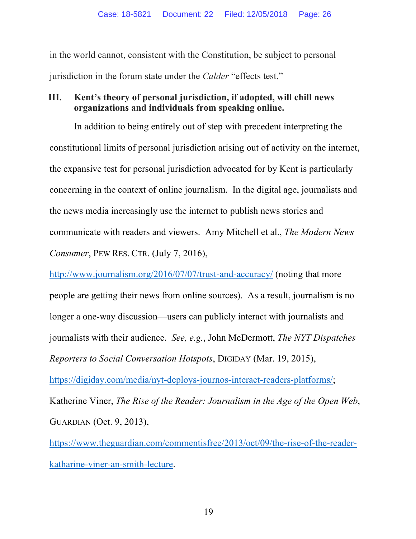in the world cannot, consistent with the Constitution, be subject to personal jurisdiction in the forum state under the *Calder* "effects test."

## **III. Kent's theory of personal jurisdiction, if adopted, will chill news organizations and individuals from speaking online.**

In addition to being entirely out of step with precedent interpreting the constitutional limits of personal jurisdiction arising out of activity on the internet, the expansive test for personal jurisdiction advocated for by Kent is particularly concerning in the context of online journalism. In the digital age, journalists and the news media increasingly use the internet to publish news stories and communicate with readers and viewers. Amy Mitchell et al., *The Modern News Consumer*, PEW RES. CTR. (July 7, 2016),

http://www.journalism.org/2016/07/07/trust-and-accuracy/ (noting that more people are getting their news from online sources). As a result, journalism is no longer a one-way discussion—users can publicly interact with journalists and journalists with their audience. *See, e.g.*, John McDermott, *The NYT Dispatches Reporters to Social Conversation Hotspots*, DIGIDAY (Mar. 19, 2015), https://digiday.com/media/nyt-deploys-journos-interact-readers-platforms/; Katherine Viner, *The Rise of the Reader: Journalism in the Age of the Open Web*, GUARDIAN (Oct. 9, 2013),

https://www.theguardian.com/commentisfree/2013/oct/09/the-rise-of-the-readerkatharine-viner-an-smith-lecture.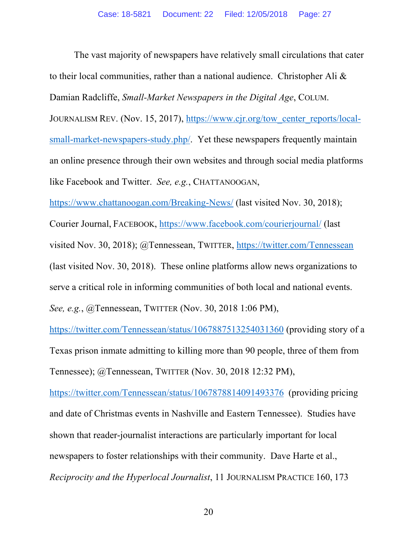The vast majority of newspapers have relatively small circulations that cater to their local communities, rather than a national audience. Christopher Ali & Damian Radcliffe, *Small-Market Newspapers in the Digital Age*, COLUM.

JOURNALISM REV. (Nov. 15, 2017), https://www.cjr.org/tow\_center\_reports/localsmall-market-newspapers-study.php/. Yet these newspapers frequently maintain an online presence through their own websites and through social media platforms like Facebook and Twitter. *See, e.g.*, CHATTANOOGAN,

https://www.chattanoogan.com/Breaking-News/ (last visited Nov. 30, 2018);

Courier Journal, FACEBOOK, https://www.facebook.com/courierjournal/ (last visited Nov. 30, 2018); @Tennessean, TWITTER, https://twitter.com/Tennessean (last visited Nov. 30, 2018). These online platforms allow news organizations to serve a critical role in informing communities of both local and national events. *See, e.g.*, @Tennessean, TWITTER (Nov. 30, 2018 1:06 PM),

https://twitter.com/Tennessean/status/1067887513254031360 (providing story of a Texas prison inmate admitting to killing more than 90 people, three of them from Tennessee); @Tennessean, TWITTER (Nov. 30, 2018 12:32 PM),

https://twitter.com/Tennessean/status/1067878814091493376 (providing pricing and date of Christmas events in Nashville and Eastern Tennessee). Studies have shown that reader-journalist interactions are particularly important for local newspapers to foster relationships with their community. Dave Harte et al., *Reciprocity and the Hyperlocal Journalist*, 11 JOURNALISM PRACTICE 160, 173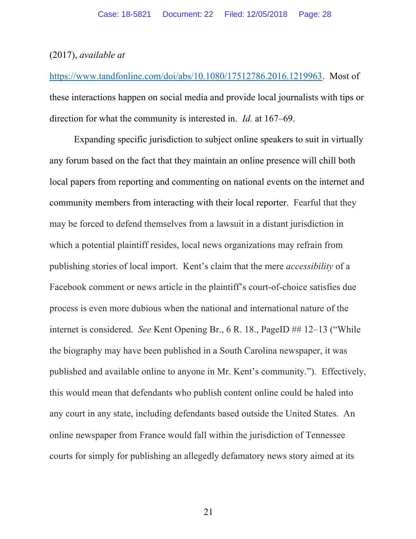#### (2017), *available at*

https://www.tandfonline.com/doi/abs/10.1080/17512786.2016.1219963. Most of these interactions happen on social media and provide local journalists with tips or direction for what the community is interested in. *Id.* at 167–69.

Expanding specific jurisdiction to subject online speakers to suit in virtually any forum based on the fact that they maintain an online presence will chill both local papers from reporting and commenting on national events on the internet and community members from interacting with their local reporter. Fearful that they may be forced to defend themselves from a lawsuit in a distant jurisdiction in which a potential plaintiff resides, local news organizations may refrain from publishing stories of local import. Kent's claim that the mere *accessibility* of a Facebook comment or news article in the plaintiff's court-of-choice satisfies due process is even more dubious when the national and international nature of the internet is considered. *See* Kent Opening Br., 6 R. 18., PageID ## 12–13 ("While the biography may have been published in a South Carolina newspaper, it was published and available online to anyone in Mr. Kent's community."). Effectively, this would mean that defendants who publish content online could be haled into any court in any state, including defendants based outside the United States. An online newspaper from France would fall within the jurisdiction of Tennessee courts for simply for publishing an allegedly defamatory news story aimed at its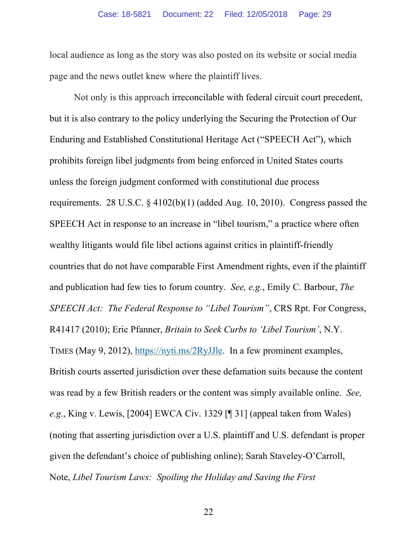local audience as long as the story was also posted on its website or social media page and the news outlet knew where the plaintiff lives.

Not only is this approach irreconcilable with federal circuit court precedent, but it is also contrary to the policy underlying the Securing the Protection of Our Enduring and Established Constitutional Heritage Act ("SPEECH Act"), which prohibits foreign libel judgments from being enforced in United States courts unless the foreign judgment conformed with constitutional due process requirements. 28 U.S.C. § 4102(b)(1) (added Aug. 10, 2010). Congress passed the SPEECH Act in response to an increase in "libel tourism," a practice where often wealthy litigants would file libel actions against critics in plaintiff-friendly countries that do not have comparable First Amendment rights, even if the plaintiff and publication had few ties to forum country. *See, e.g.*, Emily C. Barbour, *The SPEECH Act: The Federal Response to "Libel Tourism"*, CRS Rpt. For Congress, R41417 (2010); Eric Pfanner, *Britain to Seek Curbs to 'Libel Tourism'*, N.Y. TIMES (May 9, 2012), https://nyti.ms/2RyJJle. In a few prominent examples, British courts asserted jurisdiction over these defamation suits because the content was read by a few British readers or the content was simply available online. *See, e.g.*, King v. Lewis, [2004] EWCA Civ. 1329 [¶ 31] (appeal taken from Wales) (noting that asserting jurisdiction over a U.S. plaintiff and U.S. defendant is proper given the defendant's choice of publishing online); Sarah Staveley-O'Carroll, Note, *Libel Tourism Laws: Spoiling the Holiday and Saving the First*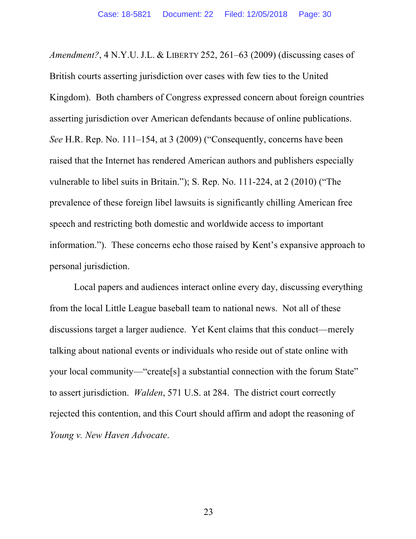*Amendment?*, 4 N.Y.U. J.L. & LIBERTY 252, 261–63 (2009) (discussing cases of British courts asserting jurisdiction over cases with few ties to the United Kingdom). Both chambers of Congress expressed concern about foreign countries asserting jurisdiction over American defendants because of online publications. *See* H.R. Rep. No. 111–154, at 3 (2009) ("Consequently, concerns have been raised that the Internet has rendered American authors and publishers especially vulnerable to libel suits in Britain."); S. Rep. No. 111-224, at 2 (2010) ("The prevalence of these foreign libel lawsuits is significantly chilling American free speech and restricting both domestic and worldwide access to important information."). These concerns echo those raised by Kent's expansive approach to personal jurisdiction.

Local papers and audiences interact online every day, discussing everything from the local Little League baseball team to national news. Not all of these discussions target a larger audience. Yet Kent claims that this conduct—merely talking about national events or individuals who reside out of state online with your local community—"create[s] a substantial connection with the forum State" to assert jurisdiction. *Walden*, 571 U.S. at 284. The district court correctly rejected this contention, and this Court should affirm and adopt the reasoning of *Young v. New Haven Advocate*.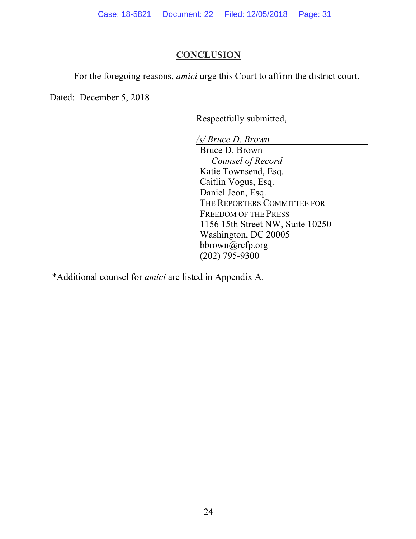# **CONCLUSION**

For the foregoing reasons, *amici* urge this Court to affirm the district court.

Dated: December 5, 2018

Respectfully submitted,

*/s/ Bruce D. Brown*

Bruce D. Brown *Counsel of Record* Katie Townsend, Esq. Caitlin Vogus, Esq. Daniel Jeon, Esq. THE REPORTERS COMMITTEE FOR FREEDOM OF THE PRESS 1156 15th Street NW, Suite 10250 Washington, DC 20005 bbrown@rcfp.org (202) 795-9300

\*Additional counsel for *amici* are listed in Appendix A.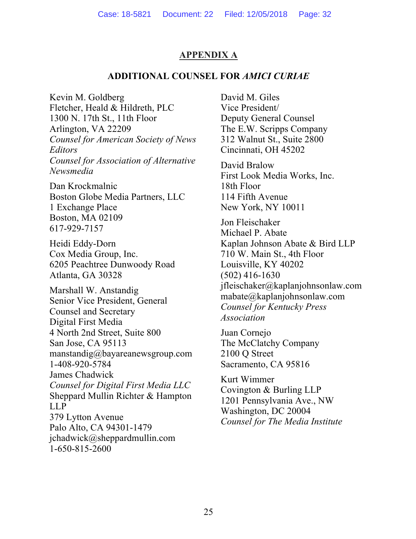# **APPENDIX A**

## **ADDITIONAL COUNSEL FOR** *AMICI CURIAE*

Kevin M. Goldberg Fletcher, Heald & Hildreth, PLC 1300 N. 17th St., 11th Floor Arlington, VA 22209 *Counsel for American Society of News Editors Counsel for Association of Alternative Newsmedia*

Dan Krockmalnic Boston Globe Media Partners, LLC 1 Exchange Place Boston, MA 02109 617-929-7157

Heidi Eddy-Dorn Cox Media Group, Inc. 6205 Peachtree Dunwoody Road Atlanta, GA 30328

Marshall W. Anstandig Senior Vice President, General Counsel and Secretary Digital First Media 4 North 2nd Street, Suite 800 San Jose, CA 95113 manstandig@bayareanewsgroup.com 1-408-920-5784 James Chadwick *Counsel for Digital First Media LLC* Sheppard Mullin Richter & Hampton LLP 379 Lytton Avenue Palo Alto, CA 94301-1479 jchadwick@sheppardmullin.com 1-650-815-2600

David M. Giles Vice President/ Deputy General Counsel The E.W. Scripps Company 312 Walnut St., Suite 2800 Cincinnati, OH 45202

David Bralow First Look Media Works, Inc. 18th Floor 114 Fifth Avenue New York, NY 10011

Jon Fleischaker Michael P. Abate Kaplan Johnson Abate & Bird LLP 710 W. Main St., 4th Floor Louisville, KY 40202 (502) 416-1630 jfleischaker@kaplanjohnsonlaw.com mabate@kaplanjohnsonlaw.com *Counsel for Kentucky Press Association*

Juan Cornejo The McClatchy Company 2100 Q Street Sacramento, CA 95816

Kurt Wimmer Covington & Burling LLP 1201 Pennsylvania Ave., NW Washington, DC 20004 *Counsel for The Media Institute*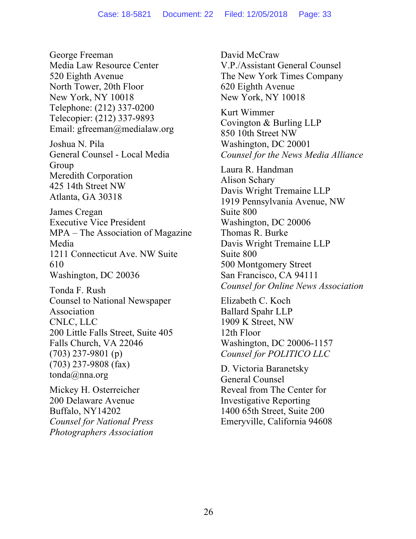George Freeman Media Law Resource Center 520 Eighth Avenue North Tower, 20th Floor New York, NY 10018 Telephone: (212) 337-0200 Telecopier: (212) 337-9893 Email: gfreeman@medialaw.org Joshua N. Pila General Counsel - Local Media Group Meredith Corporation 425 14th Street NW Atlanta, GA 30318 James Cregan Executive Vice President MPA – The Association of Magazine Media 1211 Connecticut Ave. NW Suite 610 Washington, DC 20036 Tonda F. Rush Counsel to National Newspaper Association CNLC, LLC 200 Little Falls Street, Suite 405 Falls Church, VA 22046 (703) 237-9801 (p) (703) 237-9808 (fax) tonda@nna.org Mickey H. Osterreicher

200 Delaware Avenue Buffalo, NY14202 *Counsel for National Press Photographers Association* David McCraw V.P./Assistant General Counsel The New York Times Company 620 Eighth Avenue New York, NY 10018

Kurt Wimmer Covington & Burling LLP 850 10th Street NW Washington, DC 20001 *Counsel for the News Media Alliance*

Laura R. Handman Alison Schary Davis Wright Tremaine LLP 1919 Pennsylvania Avenue, NW Suite 800 Washington, DC 20006 Thomas R. Burke Davis Wright Tremaine LLP Suite 800 500 Montgomery Street San Francisco, CA 94111 *Counsel for Online News Association*

Elizabeth C. Koch Ballard Spahr LLP 1909 K Street, NW 12th Floor Washington, DC 20006-1157 *Counsel for POLITICO LLC*

D. Victoria Baranetsky General Counsel Reveal from The Center for Investigative Reporting 1400 65th Street, Suite 200 Emeryville, California 94608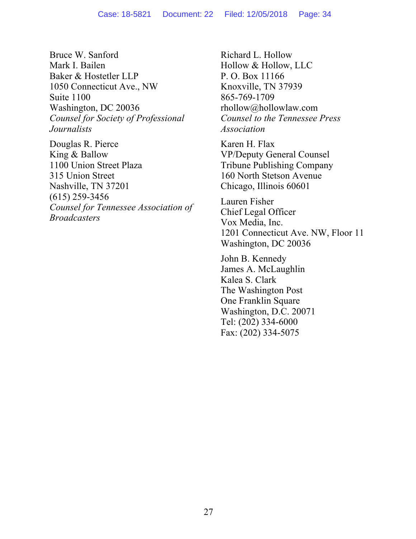Bruce W. Sanford Mark I. Bailen Baker & Hostetler LLP 1050 Connecticut Ave., NW Suite 1100 Washington, DC 20036 *Counsel for Society of Professional Journalists*

Douglas R. Pierce King & Ballow 1100 Union Street Plaza 315 Union Street Nashville, TN 37201 (615) 259-3456 *Counsel for Tennessee Association of Broadcasters*

Richard L. Hollow Hollow & Hollow, LLC P. O. Box 11166 Knoxville, TN 37939 865-769-1709 rhollow@hollowlaw.com *Counsel to the Tennessee Press Association*

Karen H. Flax VP/Deputy General Counsel Tribune Publishing Company 160 North Stetson Avenue Chicago, Illinois 60601

Lauren Fisher Chief Legal Officer Vox Media, Inc. 1201 Connecticut Ave. NW, Floor 11 Washington, DC 20036

John B. Kennedy James A. McLaughlin Kalea S. Clark The Washington Post One Franklin Square Washington, D.C. 20071 Tel: (202) 334-6000 Fax: (202) 334-5075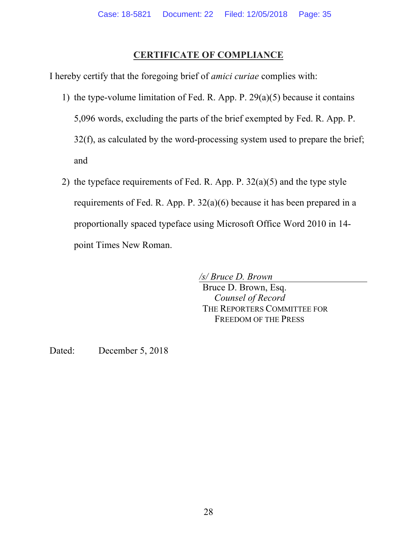# **CERTIFICATE OF COMPLIANCE**

I hereby certify that the foregoing brief of *amici curiae* complies with:

- 1) the type-volume limitation of Fed. R. App. P. 29(a)(5) because it contains 5,096 words, excluding the parts of the brief exempted by Fed. R. App. P. 32(f), as calculated by the word-processing system used to prepare the brief; and
- 2) the typeface requirements of Fed. R. App. P. 32(a)(5) and the type style requirements of Fed. R. App. P. 32(a)(6) because it has been prepared in a proportionally spaced typeface using Microsoft Office Word 2010 in 14 point Times New Roman.

*/s/ Bruce D. Brown* Bruce D. Brown, Esq. *Counsel of Record* THE REPORTERS COMMITTEE FOR FREEDOM OF THE PRESS

Dated: December 5, 2018